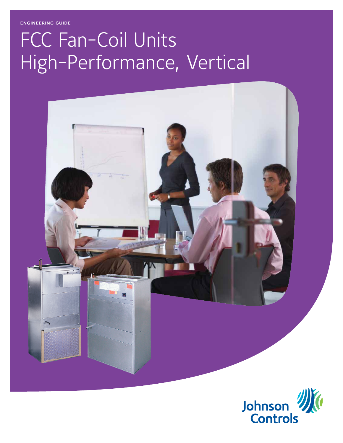engineering guide

# FCC Fan-Coil Units High-Performance, Vertical



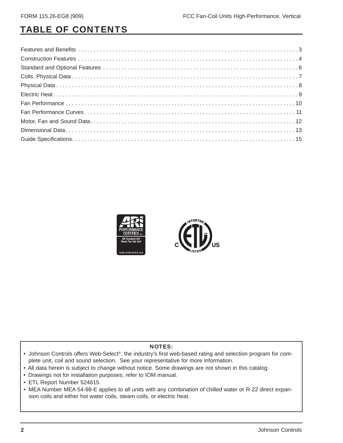# TABLE OF CONTENTS





# NOTES:

- Johnson Controls offers Web-Select®, the industry's first web-based rating and selection program for complete unit, coil and sound selection. See your representative for more information.
- All data herein is subject to change without notice. Some drawings are not shown in this catalog.
- Drawings not for installation purposes; refer to IOM manual.
- ETL Report Number 524615.
- MEA Number MEA 54-98-E applies to all units with any combination of chilled water or R-22 direct expansion coils and either hot water coils, steam coils, or electric heat.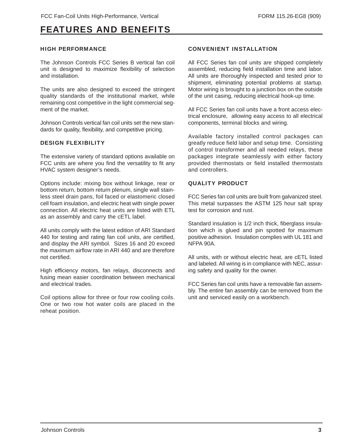# FEATURES AND BENEFITS

# HIGH PERFORMANCE

The Johnson Controls FCC Series B vertical fan coil unit is designed to maximize flexibility of selection and installation.

The units are also designed to exceed the stringent quality standards of the institutional market, while remaining cost competitive in the light commercial segment of the market.

Johnson Controls vertical fan coil units set the new standards for quality, flexibility, and competitive pricing.

# DESIGN FLEXIBILITY

The extensive variety of standard options available on FCC units are where you find the versatility to fit any HVAC system designer's needs.

Options include: mixing box without linkage, rear or bottom return, bottom return plenum, single wall stainless steel drain pans, foil faced or elastomeric closed cell foam insulation, and electric heat with single power connection. All electric heat units are listed with ETL as an assembly and carry the cETL label.

All units comply with the latest edition of ARI Standard 440 for testing and rating fan coil units, are certified, and display the ARI symbol. Sizes 16 and 20 exceed the maximum airflow rate in ARI 440 and are therefore not certified.

High efficiency motors, fan relays, disconnects and fusing mean easier coordination between mechanical and electrical trades.

Coil options allow for three or four row cooling coils. One or two row hot water coils are placed in the reheat position.

# CONVENIENT INSTALLATION

All FCC Series fan coil units are shipped completely assembled, reducing field installation time and labor. All units are thoroughly inspected and tested prior to shipment, eliminating potential problems at startup. Motor wiring is brought to a junction box on the outside of the unit casing, reducing electrical hook-up time.

All FCC Series fan coil units have a front access electrical enclosure, allowing easy access to all electrical components, terminal blocks and wiring.

Available factory installed control packages can greatly reduce field labor and setup time. Consisting of control transformer and all needed relays, these packages integrate seamlessly with either factory provided thermostats or field installed thermostats and controllers.

# QUALITY PRODUCT

FCC Series fan coil units are built from galvanized steel. This metal surpasses the ASTM 125 hour salt spray test for corrosion and rust.

Standard insulation is 1/2 inch thick, fiberglass insulation which is glued and pin spotted for maximum positive adhesion. Insulation complies with UL 181 and NFPA 90A.

All units, with or without electric heat, are cETL listed and labeled. All wiring is in compliance with NEC, assuring safety and quality for the owner.

FCC Series fan coil units have a removable fan assembly. The entire fan assembly can be removed from the unit and serviced easily on a workbench.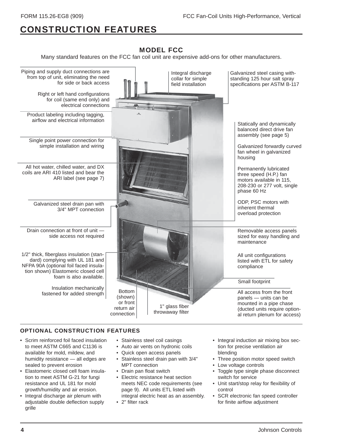# CONSTRUCTION FEATURES

#### Galvanized steel casing withstanding 125 hour salt spray specifications per ASTM B-117 Integral discharge collar for simple field installation Statically and dynamically balanced direct drive fan assembly (see page 5) Galvanized forwardly curved fan wheel in galvanized housing Permanently lubricated three speed (H.P.) fan motors available in 115, 208-230 or 277 volt, single phase 60 Hz ODP, PSC motors with inherent thermal overload protection Product labeling including tagging, airflow and electrical information Single point power connection for simple installation and wiring All hot water, chilled water, and DX coils are ARI 410 listed and bear the ARI label (see page 7) Galvanized steel drain pan with 3/4" MPT connection Drain connection at front of unit side access not required 1" glass fiber throwaway filter All access from the front panels — units can be mounted in a pipe chase (ducted units require optional return plenum for access) Bottom (shown) or front return air connection 1/2" thick, fiberglass insulation (standard) complying with UL 181 and NFPA 90A (optional foil faced insulation shown) Elastomeric closed cell foam is also available. Insulation mechanically fastened for added strength Piping and supply duct connections are from top of unit, eliminating the need for side or back access Right or left hand configurations for coil (same end only) and electrical connections Removable access panels sized for easy handling and maintenance Small footprint All unit configurations listed with ETL for safety compliance

# MODEL FCC

Many standard features on the FCC fan coil unit are expensive add-ons for other manufacturers.

# OPTIONAL CONSTRUCTION FEATURES

- Scrim reinforced foil faced insulation to meet ASTM C665 and C1136 is available for mold, mildew, and humidity resistance — all edges are sealed to prevent erosion
- Elastomeric closed cell foam insulation to meet ASTM G-21 for fungi resistance and UL 181 for mold growth/humidity and air erosion.
- Integral discharge air plenum with adjustable double deflection supply grille
- Stainless steel coil casings
- Auto air vents on hydronic coils
- Quick open access panels
- Stainless steel drain pan with 3/4" MPT connection
- Drain pan float switch
- Electric resistance heat section meets NEC code requirements (see page 9). All units ETL listed with integral electric heat as an assembly.
- 2" filter rack
- Integral induction air mixing box section for precise ventilation air blending
- Three position motor speed switch
- Low voltage controls
- Toggle type single phase disconnect switch for service
- Unit start/stop relay for flexibility of control
- SCR electronic fan speed controller for finite airflow adjustment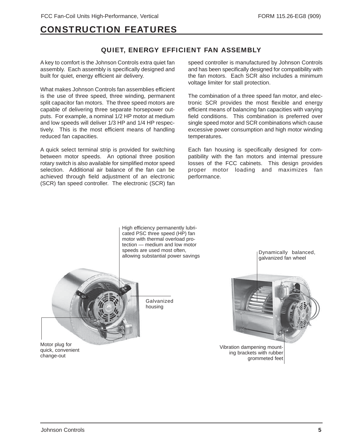# CONSTRUCTION FEATURES

# QUIET, ENERGY EFFICIENT FAN ASSEMBLY

A key to comfort is the Johnson Controls extra quiet fan assembly. Each assembly is specifically designed and built for quiet, energy efficient air delivery.

What makes Johnson Controls fan assemblies efficient is the use of three speed, three winding, permanent split capacitor fan motors. The three speed motors are capable of delivering three separate horsepower outputs. For example, a nominal 1/2 HP motor at medium and low speeds will deliver 1/3 HP and 1/4 HP respectively. This is the most efficient means of handling reduced fan capacities.

A quick select terminal strip is provided for switching between motor speeds. An optional three position rotary switch is also available for simplified motor speed selection. Additional air balance of the fan can be achieved through field adjustment of an electronic (SCR) fan speed controller. The electronic (SCR) fan

speed controller is manufactured by Johnson Controls and has been specifically designed for compatibility with the fan motors. Each SCR also includes a minimum voltage limiter for stall protection.

The combination of a three speed fan motor, and electronic SCR provides the most flexible and energy efficient means of balancing fan capacities with varying field conditions. This combination is preferred over single speed motor and SCR combinations which cause excessive power consumption and high motor winding temperatures.

Each fan housing is specifically designed for compatibility with the fan motors and internal pressure losses of the FCC cabinets. This design provides proper motor loading and maximizes fan performance.

galvanized fan wheel



Vibration dampening mounting brackets with rubber grommeted feet

Motor plug for quick, convenient change-out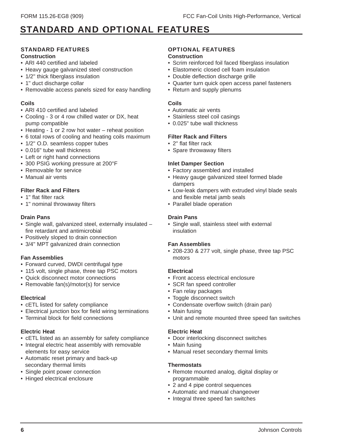# STANDARD AND OPTIONAL FEATURES

# STANDARD FEATURES

# **Construction**

- ARI 440 certified and labeled
- Heavy gauge galvanized steel construction
- 1/2" thick fiberglass insulation
- 1" duct discharge collar
- Removable access panels sized for easy handling

# **Coils**

- ARI 410 certified and labeled
- Cooling 3 or 4 row chilled water or DX, heat pump compatible
- Heating 1 or 2 row hot water reheat position
- 6 total rows of cooling and heating coils maximum
- 1/2" O.D. seamless copper tubes
- 0.016" tube wall thickness
- Left or right hand connections
- 300 PSIG working pressure at 200°F
- Removable for service
- Manual air vents

# **Filter Rack and Filters**

- 1" flat filter rack
- 1" nominal throwaway filters

# **Drain Pans**

- Single wall, galvanized steel, externally insulated fire retardant and antimicrobial
- Positively sloped to drain connection
- 3/4" MPT galvanized drain connection

# **Fan Assemblies**

- Forward curved, DWDI centrifugal type
- 115 volt, single phase, three tap PSC motors
- Quick disconnect motor connections
- Removable fan(s)/motor(s) for service

# **Electrical**

- cETL listed for safety compliance
- Electrical junction box for field wiring terminations
- Terminal block for field connections

# **Electric Heat**

- cETL listed as an assembly for safety compliance
- Integral electric heat assembly with removable elements for easy service
- Automatic reset primary and back-up secondary thermal limits
- Single point power connection
- Hinged electrical enclosure

#### OPTIONAL FEATURES **Construction**

- Scrim reinforced foil faced fiberglass insulation
- Elastomeric closed cell foam insulation
- Double deflection discharge grille
- Quarter turn quick open access panel fasteners
- Return and supply plenums

# **Coils**

- Automatic air vents
- Stainless steel coil casings
- 0.025" tube wall thickness

# **Filter Rack and Filters**

- 2" flat filter rack
- Spare throwaway filters

### **Inlet Damper Section**

- Factory assembled and installed
- Heavy gauge galvanized steel formed blade dampers
- Low-leak dampers with extruded vinyl blade seals and flexible metal jamb seals
- Parallel blade operation

# **Drain Pans**

• Single wall, stainless steel with external insulation

# **Fan Assemblies**

• 208-230 & 277 volt, single phase, three tap PSC motors

# **Electrical**

- Front access electrical enclosure
- SCR fan speed controller
- Fan relay packages
- Toggle disconnect switch
- Condensate overflow switch (drain pan)
- Main fusing
- Unit and remote mounted three speed fan switches

# **Electric Heat**

- Door interlocking disconnect switches
- Main fusing
- Manual reset secondary thermal limits

# **Thermostats**

- Remote mounted analog, digital display or programmable
- 2 and 4 pipe control sequences
- Automatic and manual changeover
- Integral three speed fan switches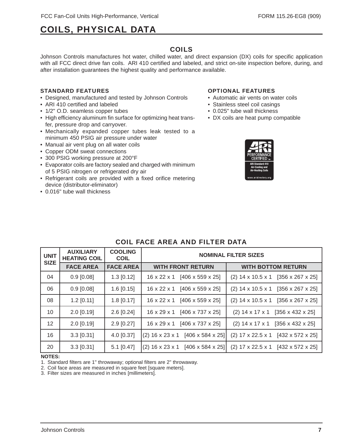# COILS, PHYSICAL DATA

# COILS

Johnson Controls manufactures hot water, chilled water, and direct expansion (DX) coils for specific application with all FCC direct drive fan coils. ARI 410 certified and labeled, and strict on-site inspection before, during, and after installation guarantees the highest quality and performance available.

# STANDARD FEATURES

- Designed, manufactured and tested by Johnson Controls
- ARI 410 certified and labeled
- 1/2" O.D. seamless copper tubes
- High efficiency aluminum fin surface for optimizing heat transfer, pressure drop and carryover.
- Mechanically expanded copper tubes leak tested to a minimum 450 PSIG air pressure under water
- Manual air vent plug on all water coils
- Copper ODM sweat connections
- 300 PSIG working pressure at 200°F
- Evaporator coils are factory sealed and charged with minimum of 5 PSIG nitrogen or refrigerated dry air
- Refrigerant coils are provided with a fixed orifice metering device (distributor-eliminator)
- 0.016" tube wall thickness

# OPTIONAL FEATURES

- Automatic air vents on water coils
- Stainless steel coil casings
- 0.025" tube wall thickness
- DX coils are heat pump compatible



| <b>UNIT</b><br><b>SIZE</b> | <b>AUXILIARY</b><br><b>HEATING COIL</b> | <b>COOLING</b><br><b>COIL</b> |                                          | <b>NOMINAL FILTER SIZES</b>                         |  |  |
|----------------------------|-----------------------------------------|-------------------------------|------------------------------------------|-----------------------------------------------------|--|--|
|                            | <b>FACE AREA</b>                        | <b>FACE AREA</b>              | <b>WITH FRONT RETURN</b>                 | <b>WITH BOTTOM RETURN</b>                           |  |  |
| 04                         | $0.9$ [0.08]                            | $1.3$ [0.12]                  | $16 \times 22 \times 1$ [406 x 559 x 25] | $[356 \times 267 \times 25]$<br>$(2)$ 14 x 10.5 x 1 |  |  |
| 06                         | $0.9$ [0.08]                            | $1.6$ [0.15]                  | $16 \times 22 \times 1$ [406 x 559 x 25] | $(2)$ 14 x 10.5 x 1<br>$[356 \times 267 \times 25]$ |  |  |
| 08                         | $1.2$ [0.11]                            | $1.8$ [0.17]                  | $16 \times 22 \times 1$ [406 x 559 x 25] | $[356 \times 267 \times 25]$<br>$(2)$ 14 x 10.5 x 1 |  |  |
| 10                         | $2.0$ [0.19]                            | $2.6$ [0.24]                  | $16 \times 29 \times 1$ [406 x 737 x 25] | $(2)$ 14 x 17 x 1 [356 x 432 x 25]                  |  |  |
| 12                         | $2.0$ [0.19]                            | 2.9 [0.27]                    | 16 x 29 x 1 [406 x 737 x 25]             | $(2)$ 14 x 17 x 1 [356 x 432 x 25]                  |  |  |
| 16                         | $3.3$ [0.31]                            | 4.0 [0.37]                    | $(2)$ 16 x 23 x 1 [406 x 584 x 25]       | (2) 17 x 22.5 x 1 [432 x 572 x 25]                  |  |  |
| 20                         | $3.3$ [0.31]                            | $5.1$ [0.47]                  | $(2)$ 16 x 23 x 1 [406 x 584 x 25]       | $[432 \times 572 \times 25]$<br>$(2)$ 17 x 22.5 x 1 |  |  |

# COIL FACE AREA AND FILTER DATA

**NOTES:**

1. Standard filters are 1" throwaway; optional filters are 2" throwaway.

2. Coil face areas are measured in square feet [square meters].

3. Filter sizes are measured in inches [millimeters].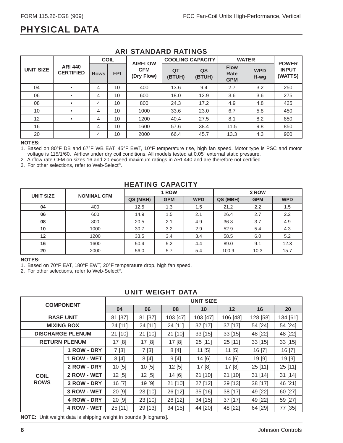# PHYSICAL DATA

|                  |                                    | <b>COIL</b> |            | <b>AIRFLOW</b>           |              | <b>COOLING CAPACITY</b> |                                   | <b>WATER</b>        | <b>POWER</b>            |  |
|------------------|------------------------------------|-------------|------------|--------------------------|--------------|-------------------------|-----------------------------------|---------------------|-------------------------|--|
| <b>UNIT SIZE</b> | <b>ARI 440</b><br><b>CERTIFIED</b> | <b>Rows</b> | <b>FPI</b> | <b>CFM</b><br>(Dry Flow) | QT<br>(BTUH) | QS<br>(BTUH)            | <b>Flow</b><br>Rate<br><b>GPM</b> | <b>WPD</b><br>ft-wg | <b>INPUT</b><br>(WATTS) |  |
| 04               | $\bullet$                          | 4           | 10         | 400                      | 13.6         | 9.4                     | 2.7                               | 3.2                 | 250                     |  |
| 06               | $\bullet$                          | 4           | 10         | 600                      | 18.0         | 12.9                    | 3.6                               | 3.6                 | 275                     |  |
| 08               | $\bullet$                          | 4           | 10         | 800                      | 24.3         | 17.2                    | 4.9                               | 4.8                 | 425                     |  |
| 10               | $\bullet$                          | 4           | 10         | 1000                     | 33.6         | 23.0                    | 6.7                               | 5.8                 | 450                     |  |
| 12               |                                    | 4           | 10         | 1200                     | 40.4         | 27.5                    | 8.1                               | 8.2                 | 850                     |  |
| 16               |                                    | 4           | 10         | 1600                     | 57.6         | 38.4                    | 11.5                              | 9.8                 | 850                     |  |
| 20               |                                    | 4           | 10         | 2000                     | 66.4         | 45.7                    | 13.3                              | 4.3                 | 900                     |  |

# ARI STANDARD RATINGS

#### **NOTES:**

1. Based on 80°F DB and 67°F WB EAT, 45°F EWT, 10°F temperature rise, high fan speed. Motor type is PSC and motor voltage is 115/1/60. Airflow under dry coil conditions. All models tested at 0.05" external static pressure.

2. Airflow rate CFM on sizes 16 and 20 exceed maximum ratings in ARI 440 and are therefore not certified.

3. For other selections, refer to Web-Select®.

# HEATING CAPACITY

| <b>UNIT SIZE</b> | <b>NOMINAL CFM</b> |          | 1 ROW      |            | 2 ROW    |            |            |
|------------------|--------------------|----------|------------|------------|----------|------------|------------|
|                  |                    | QS (MBH) | <b>GPM</b> | <b>WPD</b> | QS (MBH) | <b>GPM</b> | <b>WPD</b> |
| 04               | 400                | 12.5     | 1.3        | 1.5        | 21.2     | 2.2        | 1.5        |
| 06               | 600                | 14.9     | 1.5        | 2.1        | 26.4     | 2.7        | 2.2        |
| 08               | 800                | 20.5     | 2.1        | 4.9        | 36.3     | 3.7        | 4.9        |
| 10               | 1000               | 30.7     | 3.2        | 2.9        | 52.9     | 5.4        | 4.3        |
| 12               | 1200               | 33.5     | 3.4        | 3.4        | 58.5     | 6.0        | 5.2        |
| 16               | 1600               | 50.4     | 5.2        | 4.4        | 89.0     | 9.1        | 12.3       |
| 20               | 2000               | 56.0     | 5.7        | 5.4        | 100.9    | 10.3       | 15.7       |

#### **NOTES:**

1. Based on 70°F EAT, 180°F EWT, 20°F temperature drop, high fan speed.

2. For other selections, refer to Web-Select®.

# UNIT WEIGHT DATA

|             | <b>COMPONENT</b>        |         |         |           | <b>UNIT SIZE</b> |           |           |           |
|-------------|-------------------------|---------|---------|-----------|------------------|-----------|-----------|-----------|
|             |                         | 04      | 06      | 08        | 10               | 12        | 16        | 20        |
|             | <b>BASE UNIT</b>        | 81 [37] | 81 [37] | 103 [47]  | 103 [47]         | 106 [48]  | 128 [58]  | 134 [61]  |
|             | <b>MIXING BOX</b>       | 24 [11] | 24 [11] | 24 [11]   | 37 [17]          | 37 [17]   | 54 [24]   | 54 [24]   |
|             | <b>DISCHARGE PLENUM</b> | 21 [10] | 21 [10] | 21 [10]   | $33$ [15]        | 33[15]    | 48 [22]   | 48 [22]   |
|             | <b>RETURN PLENUM</b>    | 17 [8]  | 17 [8]  | 17 [8]    | 25 [11]          | 25 [11]   | 33 [15]   | 33 [15]   |
|             | 1 ROW - DRY             | 7[3]    | 7[3]    | 8[4]      | 11[5]            | 11 [5]    | 16 [7]    | 16 [7]    |
|             | 1 ROW - WET             | 8[4]    | 8[4]    | 9[4]      | 14 [6]           | 14 [6]    | 19 [9]    | 19 [9]    |
|             | 2 ROW - DRY             | 10[5]   | 10 [5]  | 12[5]     | 17 [8]           | 17 [8]    | 25 [11]   | 25 [11]   |
| <b>COIL</b> | 2 ROW - WET             | 12 [5]  | 12 [5]  | 14 [6]    | 21 [10]          | 21 [10]   | $31$ [14] | $31$ [14] |
| <b>ROWS</b> | 3 ROW - DRY             | 16 [7]  | 19 [9]  | $21$ [10] | 27 [12]          | 29 [13]   | 38 [17]   | 46 [21]   |
|             | 3 ROW - WET             | 20 [9]  | 23 [10] | 26 [12]   | $35$ [16]        | 38 [17]   | 49 [22]   | 60 [27]   |
|             | 4 ROW - DRY             | 20 [9]  | 23 [10] | 26 [12]   | 34 [15]          | $37$ [17] | 49 [22]   | 59 [27]   |
|             | 4 ROW - WET             | 25 [11] | 29 [13] | 34 [15]   | 44 [20]          | 48 [22]   | 64 [29]   | 77 [35]   |

**NOTE:** Unit weight data is shipping weight in pounds [kilograms].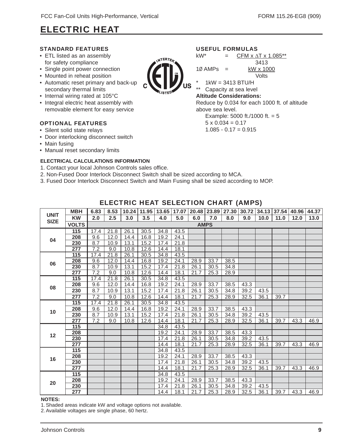3413

Volts

Reduce by 0.034 for each 1000 ft. of altitude

Example:  $5000$  ft./1000 ft. =  $5$ 

 $10$  AMPs =  $kW \times 1000$ 

\*  $1 \text{kW} = 3413 \text{ BTU/H}$ <br>\*\* Capacity at sea love Capacity at sea level

> $5 \times 0.034 = 0.17$  $1.085 - 0.17 = 0.915$

above sea level.

# ELECTRIC HEAT

# STANDARD FEATURES

- ETL listed as an assembly for safety compliance
- Single point power connection
- Mounted in reheat position
- Automatic reset primary and back-up secondary thermal limits
- Internal wiring rated at 105°C
- Integral electric heat assembly with removable element for easy service

# OPTIONAL FEATURES

- Silent solid state relays
- Door interlocking disconnect switch
- Main fusing
- Manual reset secondary limits

# **ELECTRICAL CALCULATIONS INFORMATION**

- 1. Contact your local Johnson Controls sales office.
- 2. Non-Fused Door Interlock Disconnect Switch shall be sized according to MCA.
- 3. Fused Door Interlock Disconnect Switch and Main Fusing shall be sized according to MOP.

|             | <b>MBH</b>   | 6.83             | 8.53        | 10.24 |      |      |              |              | 11.95   13.65   17.07   20.48   23.89   27.30   30.72   34.13   37.54 |      |              | -- - -       |      | 40.96 | 44.37 |
|-------------|--------------|------------------|-------------|-------|------|------|--------------|--------------|-----------------------------------------------------------------------|------|--------------|--------------|------|-------|-------|
| <b>UNIT</b> | <b>KW</b>    | 2.0              | 2.5         | 3.0   | 3.5  | 4.0  | 5.0          | 6.0          | 7.0                                                                   | 8.0  | 9.0          | 10.0         | 11.0 | 12.0  | 13.0  |
| <b>SIZE</b> | <b>VOLTS</b> |                  | <b>AMPS</b> |       |      |      |              |              |                                                                       |      |              |              |      |       |       |
|             | 115          | 17.4             | 21.8        | 26.1  | 30.5 | 34.8 | 43.5         |              |                                                                       |      |              |              |      |       |       |
| 04          | 208          | $9.\overline{6}$ | 12.0        | 14.4  | 16.8 | 19.2 | 24.1         |              |                                                                       |      |              |              |      |       |       |
|             | 230          | 8.7              | 10.9        | 13.1  | 15.2 | 17.4 | 21.8         |              |                                                                       |      |              |              |      |       |       |
|             | 277          | 7.2              | 9.0         | 10.8  | 12.6 | 14.4 | 18.1         |              |                                                                       |      |              |              |      |       |       |
|             | 115          | 17.4             | 21.8        | 26.1  | 30.5 | 34.8 | 43.5         |              |                                                                       |      |              |              |      |       |       |
| 06          | 208          | 9.6              | 12.0        | 14.4  | 16.8 | 19.2 | 24.1         | 28.9         | 33.7                                                                  | 38.5 |              |              |      |       |       |
|             | 230          | 8.7              | 10.9        | 13.1  | 15.2 | 17.4 | 21.8         | 26.1         | 30.5                                                                  | 34.8 |              |              |      |       |       |
|             | 277          | 7.2              | 9.0         | 10.8  | 12.6 | 14.4 | 18.1         | 21.7         | 25.3                                                                  | 28.9 |              |              |      |       |       |
|             | 115          | 17.4             | 21.8        | 26.1  | 30.5 | 34.8 | 43.5         |              |                                                                       |      |              |              |      |       |       |
| 08          | 208          | 9.6              | 12.0        | 14.4  | 16.8 | 19.2 | 24.1         | 28.9         | 33.7                                                                  | 38.5 | 43.3         |              |      |       |       |
|             | 230          | 8.7              | 10.9        | 13.1  | 15.2 | 17.4 | 21.8         | 26.1         | 30.5                                                                  | 34.8 | 39.2         | 43.5         |      |       |       |
|             | 277          | 7.2              | 9.0         | 10.8  | 12.6 | 14.4 | 18.1         | 21.7         | 25.3                                                                  | 28.9 | 32.5         | 36.1         | 39.7 |       |       |
|             | 115          | 17.4             | 21.8        | 26.1  | 30.5 | 34.8 | 43.5         |              |                                                                       |      |              |              |      |       |       |
| 10          | 208          | 9.6              | 12.0        | 14.4  | 16.8 | 19.2 | 24.1         | 28.9         | 33.7                                                                  | 38.5 | 43.3         |              |      |       |       |
|             | 230          | 8.7              | 10.9        | 13.1  | 15.2 | 17.4 | 21.8         | 26.1         | 30.5                                                                  | 34.8 | 39.2         | 43.5         |      |       |       |
|             | 277          | 7.2              | 9.0         | 10.8  | 12.6 | 14.4 | 18.1         | 21.7         | 25.3                                                                  | 28.9 | 32.5         | 36.1         | 39.7 | 43.3  | 46.9  |
|             | 115          |                  |             |       |      | 34.8 | 43.5         |              |                                                                       |      |              |              |      |       |       |
| 12          | 208          |                  |             |       |      | 19.2 | 24.1         | 28.9         | 33.7                                                                  | 38.5 | 43.3         |              |      |       |       |
|             | 230          |                  |             |       |      | 17.4 | 21.8         | 26.1         | 30.5                                                                  | 34.8 | 39.2         | 43.5         |      |       |       |
|             | 277          |                  |             |       |      | 14.4 | 18.1         | 21.7         | 25.3                                                                  | 28.9 | 32.5         | 36.1         | 39.7 | 43.3  | 46.9  |
|             | 115          |                  |             |       |      | 34.8 | 43.5         |              |                                                                       |      |              |              |      |       |       |
| 16          | 208          |                  |             |       |      | 19.2 | 24.1         | 28.9         | 33.7                                                                  | 38.5 | 43.3         |              |      |       |       |
|             | 230          |                  |             |       |      | 17.4 | 21.8         | 26.1         | 30.5                                                                  | 34.8 | 39.2         | 43.5         |      |       |       |
|             | 277          |                  |             |       |      | 14.4 | 18.1         | 21.7         | 25.3                                                                  | 28.9 | 32.5         | 36.1         | 39.7 | 43.3  | 46.9  |
|             | 115          |                  |             |       |      | 34.8 | 43.5         |              |                                                                       |      |              |              |      |       |       |
| 20          | 208<br>230   |                  |             |       |      | 19.2 | 24.1         | 28.9<br>26.1 | 33.7<br>30.5                                                          | 38.5 | 43.3<br>39.2 |              |      |       |       |
|             | 277          |                  |             |       |      | 17.4 | 21.8<br>18.1 | 21.7         | 25.3                                                                  | 34.8 | 32.5         | 43.5<br>36.1 |      |       |       |
|             |              |                  |             |       |      | 14.4 |              |              |                                                                       | 28.9 |              |              | 39.7 | 43.3  | 46.9  |

# ELECTRIC HEAT SELECTION CHART (AMPS)

#### **NOTES:**

1. Shaded areas indicate kW and voltage options not available.

2. Available voltages are single phase, 60 hertz.

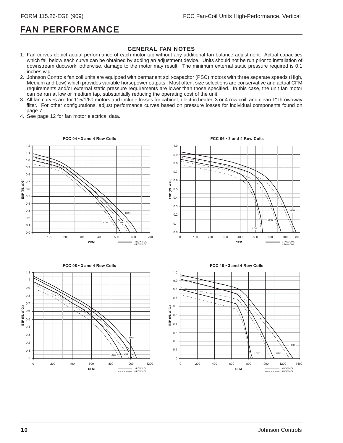# FAN PERFORMANCE

# GENERAL FAN NOTES

- 1. Fan curves depict actual performance of each motor tap without any additional fan balance adjustment. Actual capacities which fall below each curve can be obtained by adding an adjustment device. Units should not be run prior to installation of downstream ductwork; otherwise, damage to the motor may result. The minimum external static pressure required is 0.1 inches w.g.
- 2. Johnson Controls fan coil units are equipped with permanent split-capacitor (PSC) motors with three separate speeds (High, Medium and Low) which provides variable horsepower outputs. Most often, size selections are conservative and actual CFM requirements and/or external static pressure requirements are lower than those specified. In this case, the unit fan motor can be run at low or medium tap, substantially reducing the operating cost of the unit.
- 3. All fan curves are for 115/1/60 motors and include losses for cabinet, electric heater, 3 or 4 row coil, and clean 1" throwaway filter. For other configurations, adjust performance curves based on pressure losses for individual components found on page 7.
- 4. See page 12 for fan motor electrical data.

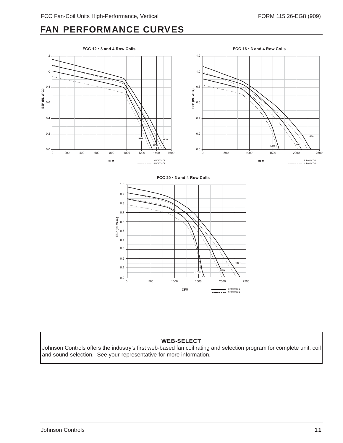# FAN PERFORMANCE CURVES



# WEB-SELECT

Johnson Controls offers the industry's first web-based fan coil rating and selection program for complete unit, coil and sound selection. See your representative for more information.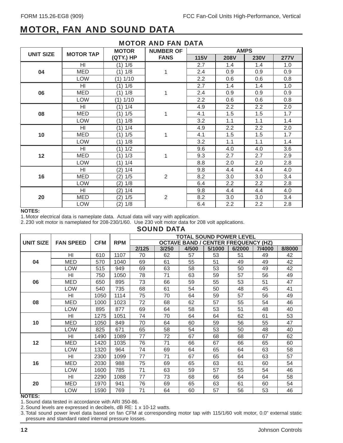# MOTOR, FAN AND SOUND DATA

|                  | <b>MOTOR AND FAN DATA</b> |              |                  |             |                  |             |             |  |  |  |  |
|------------------|---------------------------|--------------|------------------|-------------|------------------|-------------|-------------|--|--|--|--|
| <b>UNIT SIZE</b> | <b>MOTOR TAP</b>          | <b>MOTOR</b> | <b>NUMBER OF</b> |             |                  | <b>AMPS</b> |             |  |  |  |  |
|                  |                           | (QTY.) HP    | <b>FANS</b>      | <b>115V</b> | <b>208V</b>      | <b>230V</b> | <b>277V</b> |  |  |  |  |
|                  | HI                        | (1) 1/6      |                  | 2.7         | 1.4              | 1.4         | 1.0         |  |  |  |  |
| 04               | <b>MED</b>                | (1) 1/8      | 1                | 2.4         | 0.9              | 0.9         | 0.9         |  |  |  |  |
|                  | <b>LOW</b>                | (1) 1/10     |                  | 2.2         | 0.6              | 0.6         | 0.8         |  |  |  |  |
|                  | HI                        | (1) 1/6      |                  | 2.7         | 1.4              | 1.4         | 1.0         |  |  |  |  |
| 06               | <b>MED</b>                | (1) 1/8      | 1                | 2.4         | 0.9              | 0.9         | 0.9         |  |  |  |  |
|                  | <b>LOW</b>                | $(1)$ 1/10   |                  | 2.2         | 0.6              | 0.6         | 0.8         |  |  |  |  |
|                  | HI                        | (1) 1/4      |                  | 4.9         | 2.2              | 2.2         | 2.0         |  |  |  |  |
| 08               | <b>MED</b>                | (1) 1/5      | 1                | 4.1         | 1.5              | 1.5         | 1.7         |  |  |  |  |
|                  | <b>LOW</b>                | (1) 1/8      |                  | 3.2         | 1.1              | 1.1         | 1.4         |  |  |  |  |
|                  | HI                        | (1) 1/4      |                  | 4.9         | 2.2              | 2.2         | 2.0         |  |  |  |  |
| 10               | MED                       | (1) 1/5      | 1                | 4.1         | 1.5              | 1.5         | 1.7         |  |  |  |  |
|                  | <b>LOW</b>                | (1) 1/8      |                  | 3.2         | 1.1              | 1.1         | 1.4         |  |  |  |  |
|                  | HI.                       | (1) 1/2      |                  | 9.6         | 4.0              | 4.0         | 3.6         |  |  |  |  |
| 12               | MED                       | (1) 1/3      | 1                | 9.3         | 2.7              | 2.7         | 2.9         |  |  |  |  |
|                  | LOW                       | (1) 1/4      |                  | 8.8         | 2.0              | 2.0         | 2.8         |  |  |  |  |
|                  | HI                        | (2) 1/4      |                  | 9.8         | 4.4              | 4.4         | 4.0         |  |  |  |  |
| 16               | MED                       | (2) 1/5      | $\overline{2}$   | 8.2         | 3.0              | 3.0         | 3.4         |  |  |  |  |
|                  | <b>LOW</b>                | (2) 1/8      |                  | 6.4         | $2.2\phantom{0}$ | 2.2         | 2.8         |  |  |  |  |
|                  | HI                        | (2) 1/4      |                  | 9.8         | 4.4              | 4.4         | 4.0         |  |  |  |  |
| 20               | MED                       | (2) 1/5      | $\overline{2}$   | 8.2         | 3.0              | 3.0         | 3.4         |  |  |  |  |
|                  | <b>LOW</b>                | (2) 1/8      |                  | 6.4         | 2.2              | 2.2         | 2.8         |  |  |  |  |

#### **NOTES:**

1. Motor electrical data is nameplate data. Actual data will vary with application.

2. 230 volt motor is nameplated for 208-230/1/60. Use 230 volt motor data for 208 volt applications.

SOUND DATA

|                  |                  |            |            | <b>TOTAL SOUND POWER LEVEL</b>             |       |       |        |        |        |        |  |
|------------------|------------------|------------|------------|--------------------------------------------|-------|-------|--------|--------|--------|--------|--|
| <b>UNIT SIZE</b> | <b>FAN SPEED</b> | <b>CFM</b> | <b>RPM</b> | <b>OCTAVE BAND / CENTER FREQUENCY (HZ)</b> |       |       |        |        |        |        |  |
|                  |                  |            |            | 2/125                                      | 3/250 | 4/500 | 5/1000 | 6/2000 | 7/4000 | 8/8000 |  |
|                  | HI               | 610        | 1107       | 70                                         | 62    | 57    | 53     | 51     | 49     | 42     |  |
| 04               | <b>MED</b>       | 570        | 1040       | 69                                         | 61    | 55    | 51     | 49     | 49     | 42     |  |
|                  | <b>LOW</b>       | 515        | 949        | 69                                         | 63    | 58    | 53     | 50     | 49     | 42     |  |
|                  | HI               | 750        | 1050       | 78                                         | 71    | 63    | 59     | 57     | 56     | 49     |  |
| 06               | <b>MED</b>       | 650        | 895        | 73                                         | 66    | 59    | 55     | 53     | 51     | 47     |  |
|                  | <b>LOW</b>       | 540        | 735        | 68                                         | 61    | 54    | 50     | 48     | 45     | 41     |  |
|                  | HI               | 1050       | 1114       | 75                                         | 70    | 64    | 59     | 57     | 56     | 49     |  |
| 08               | <b>MED</b>       | 1000       | 1023       | 72                                         | 68    | 62    | 57     | 55     | 54     | 46     |  |
|                  | <b>LOW</b>       | 895        | 877        | 69                                         | 64    | 58    | 53     | 51     | 48     | 40     |  |
|                  | HI               | 1275       | 1051       | 74                                         | 70    | 64    | 64     | 62     | 61     | 53     |  |
| 10               | <b>MED</b>       | 1050       | 849        | 70                                         | 64    | 60    | 59     | 56     | 55     | 47     |  |
|                  | <b>LOW</b>       | 825        | 671        | 65                                         | 58    | 54    | 53     | 50     | 48     | 40     |  |
|                  | HI               | 1490       | 1089       | 77                                         | 72    | 67    | 68     | 68     | 67     | 62     |  |
| 12               | <b>MED</b>       | 1420       | 1035       | 76                                         | 71    | 66    | 67     | 66     | 65     | 60     |  |
|                  | <b>LOW</b>       | 1320       | 964        | 74                                         | 69    | 64    | 65     | 64     | 63     | 58     |  |
|                  | HI               | 2300       | 1099       | 77                                         | 71    | 67    | 65     | 64     | 63     | 57     |  |
| 16               | <b>MED</b>       | 2030       | 988        | 75                                         | 69    | 65    | 63     | 61     | 60     | 54     |  |
|                  | <b>LOW</b>       | 1600       | 785        | 71                                         | 63    | 59    | 57     | 55     | 54     | 46     |  |
|                  | HI               | 2290       | 1088       | 77                                         | 73    | 68    | 66     | 64     | 64     | 58     |  |
| 20               | <b>MED</b>       | 1970       | 941        | 76                                         | 69    | 65    | 63     | 61     | 60     | 54     |  |
|                  | LOW              | 1590       | 769        | 71                                         | 64    | 60    | 57     | 56     | 53     | 46     |  |

#### **NOTES:**

1. Sound data tested in accordance with ARI 350-86.

2. Sound levels are expressed in decibels, dB RE: 1 x 10-12 watts.

3. Total sound power level data based on fan CFM at corresponding motor tap with 115/1/60 volt motor, 0.0" external static pressure and standard rated internal pressure losses.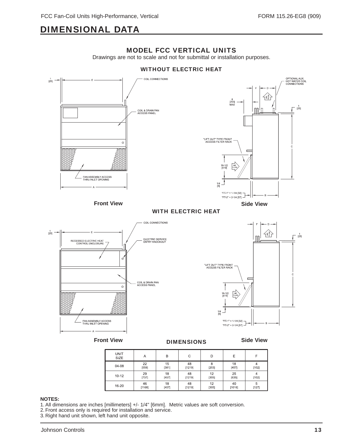# DIMENSIONAL DATA



**NOTES:**

- 1. All dimensions are inches [millimeters] +/- 1/4" [6mm]. Metric values are soft conversion.
- 2. Front access only is required for installation and service.

3. Right hand unit shown, left hand unit opposite.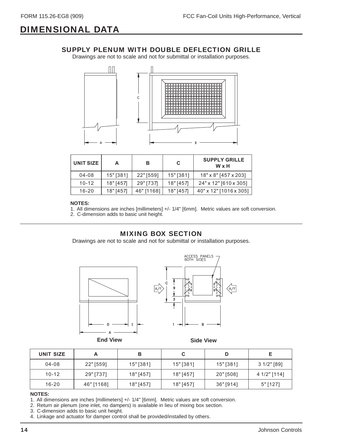# DIMENSIONAL DATA

# SUPPLY PLENUM WITH DOUBLE DEFLECTION GRILLE

Drawings are not to scale and not for submittal or installation purposes.



| UNIT SIZE |           | в          | C         | <b>SUPPLY GRILLE</b><br><b>W</b> x H |
|-----------|-----------|------------|-----------|--------------------------------------|
| 04-08     | 15" [381] | 22" [559]  | 15" [381] | 18" x 8" [457 x 203]                 |
| $10 - 12$ | 18" [457] | 29" [737]  | 18" [457] | 24" x 12" [610 x 305]                |
| $16 - 20$ | 18" [457] | 46" [1168] | 18" [457] | 40" x 12" [1016 x 305]               |

#### **NOTES:**

1. All dimensions are inches [millimeters] +/- 1/4" [6mm]. Metric values are soft conversion.

2. C-dimension adds to basic unit height.

# MIXING BOX SECTION

Drawings are not to scale and not for submittal or installation purposes.



**End View Side View**

 $\sqrt{r}$ 

| UNIT SIZE |            |           |           |             |              |
|-----------|------------|-----------|-----------|-------------|--------------|
| $04 - 08$ | 22" [559]  | 15" [381] | 15" [381] | $15"$ [381] | $31/2"$ [89] |
| $10 - 12$ | 29" [737]  | 18" [457] | 18" [457] | 20" [508]   | 4 1/2" [114] |
| $16 - 20$ | 46" [1168] | 18" [457] | 18" [457] | 36" [914]   | $5"$ [127]   |

#### **NOTES:**

1. All dimensions are inches [millimeters] +/- 1/4" [6mm]. Metric values are soft conversion.

2. Return air plenum (one inlet, no dampers) is available in lieu of mixing box section.

3. C-dimension adds to basic unit height.

4. Linkage and actuator for damper control shall be provided/installed by others.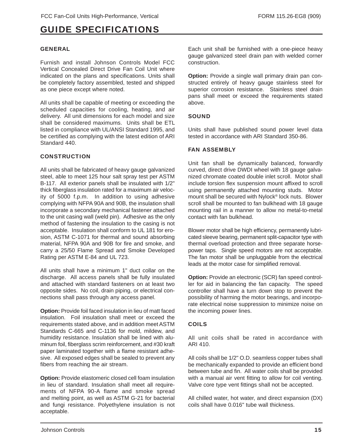# GUIDE SPECIFICATIONS

# GENERAL

Furnish and install Johnson Controls Model FCC Vertical Concealed Direct Drive Fan Coil Unit where indicated on the plans and specifications. Units shall be completely factory assembled, tested and shipped as one piece except where noted.

All units shall be capable of meeting or exceeding the scheduled capacities for cooling, heating, and air delivery. All unit dimensions for each model and size shall be considered maximums. Units shall be ETL listed in compliance with UL/ANSI Standard 1995, and be certified as complying with the latest edition of ARI Standard 440.

# **CONSTRUCTION**

All units shall be fabricated of heavy gauge galvanized steel, able to meet 125 hour salt spray test per ASTM B-117. All exterior panels shall be insulated with 1/2" thick fiberglass insulation rated for a maximum air velocity of 5000 f.p.m. In addition to using adhesive complying with NFPA 90A and 90B, the insulation shall incorporate a secondary mechanical fastener attached to the unit casing wall (weld pin). Adhesive as the only method of fastening the insulation to the casing is not acceptable. Insulation shall conform to UL 181 for erosion, ASTM C-1071 for thermal and sound absorbing material, NFPA 90A and 90B for fire and smoke, and carry a 25/50 Flame Spread and Smoke Developed Rating per ASTM E-84 and UL 723.

All units shall have a minimum 1" duct collar on the discharge. All access panels shall be fully insulated and attached with standard fasteners on at least two opposite sides. No coil, drain piping, or electrical connections shall pass through any access panel.

**Option:** Provide foil faced insulation in lieu of matt faced insulation. Foil insulation shall meet or exceed the requirements stated above, and in addition meet ASTM Standards C-665 and C-1136 for mold, mildew, and humidity resistance. Insulation shall be lined with aluminum foil, fiberglass scrim reinforcement, and #30 kraft paper laminated together with a flame resistant adhesive. All exposed edges shall be sealed to prevent any fibers from reaching the air stream.

**Option:** Provide elastomeric closed cell foam insulation in lieu of standard. Insulation shall meet all requirements of NFPA 90-A flame and smoke spread and melting point, as well as ASTM G-21 for bacterial and fungi resistance. Polyethylene insulation is not acceptable.

Each unit shall be furnished with a one-piece heavy gauge galvanized steel drain pan with welded corner construction.

**Option:** Provide a single wall primary drain pan constructed entirely of heavy gauge stainless steel for superior corrosion resistance. Stainless steel drain pans shall meet or exceed the requirements stated above.

# SOUND

Units shall have published sound power level data tested in accordance with ARI Standard 350-86.

# FAN ASSEMBLY

Unit fan shall be dynamically balanced, forwardly curved, direct drive DWDI wheel with 18 gauge galvanized chromate coated double inlet scroll. Motor shall include torsion flex suspension mount affixed to scroll using permanently attached mounting studs. Motor mount shall be secured with Nylock® lock nuts. Blower scroll shall be mounted to fan bulkhead with 18 gauge mounting rail in a manner to allow no metal-to-metal contact with fan bulkhead.

Blower motor shall be high efficiency, permanently lubricated sleeve bearing, permanent split-capacitor type with thermal overload protection and three separate horsepower taps. Single speed motors are not acceptable. The fan motor shall be unpluggable from the electrical leads at the motor case for simplified removal.

**Option:** Provide an electronic (SCR) fan speed controller for aid in balancing the fan capacity. The speed controller shall have a turn down stop to prevent the possibility of harming the motor bearings, and incorporate electrical noise suppression to minimize noise on the incoming power lines.

# COILS

All unit coils shall be rated in accordance with ARI 410.

All coils shall be 1/2" O.D. seamless copper tubes shall be mechanically expanded to provide an efficient bond between tube and fin. All water coils shall be provided with a manual air vent fitting to allow for coil venting. Valve core type vent fittings shall not be accepted.

All chilled water, hot water, and direct expansion (DX) coils shall have 0.016" tube wall thickness.